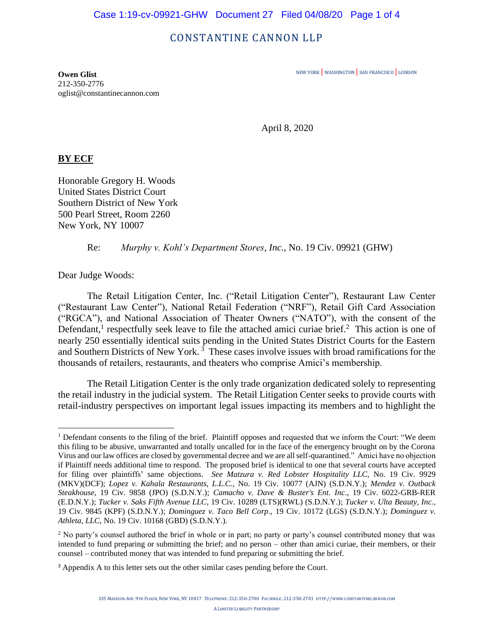## CONSTANTINE CANNON LLP

NEW YORK | WASHINGTON | SAN FRANCISCO | LONDON

**Owen Glist** 212-350-2776 oglist@constantinecannon.com

April 8, 2020

#### **BY ECF**

Honorable Gregory H. Woods United States District Court Southern District of New York 500 Pearl Street, Room 2260 New York, NY 10007

Re: *Murphy v. Kohl's Department Stores, Inc.,* No. 19 Civ. 09921 (GHW)

Dear Judge Woods:

The Retail Litigation Center, Inc. ("Retail Litigation Center"), Restaurant Law Center ("Restaurant Law Center"), National Retail Federation ("NRF"), Retail Gift Card Association ("RGCA"), and National Association of Theater Owners ("NATO"), with the consent of the Defendant,<sup>1</sup> respectfully seek leave to file the attached amici curiae brief.<sup>2</sup> This action is one of nearly 250 essentially identical suits pending in the United States District Courts for the Eastern and Southern Districts of New York.<sup>3</sup> These cases involve issues with broad ramifications for the thousands of retailers, restaurants, and theaters who comprise Amici's membership.

The Retail Litigation Center is the only trade organization dedicated solely to representing the retail industry in the judicial system. The Retail Litigation Center seeks to provide courts with retail-industry perspectives on important legal issues impacting its members and to highlight the

<sup>&</sup>lt;sup>1</sup> Defendant consents to the filing of the brief. Plaintiff opposes and requested that we inform the Court: "We deem this filing to be abusive, unwarranted and totally uncalled for in the face of the emergency brought on by the Corona Virus and our law offices are closed by governmental decree and we are all self-quarantined." Amici have no objection if Plaintiff needs additional time to respond. The proposed brief is identical to one that several courts have accepted for filing over plaintiffs' same objections. *See Matzura v. Red Lobster Hospitality LLC*, No. 19 Civ. 9929 (MKV)(DCF); *Lopez v. Kahala Restaurants, L.L.C.*, No. 19 Civ. 10077 (AJN) (S.D.N.Y.); *Mendez v. Outback Steakhouse*, 19 Civ. 9858 (JPO) (S.D.N.Y.); *Camacho v. Dave & Buster's Ent. Inc*., 19 Civ. 6022-GRB-RER (E.D.N.Y.); *Tucker v. Saks Fifth Avenue LLC*, 19 Civ. 10289 (LTS)(RWL) (S.D.N.Y.); *Tucker v. Ulta Beauty, Inc.,* 19 Civ. 9845 (KPF) (S.D.N.Y.); *Dominguez v. Taco Bell Corp*., 19 Civ. 10172 (LGS) (S.D.N.Y.); *Dominguez v. Athleta, LLC*, No. 19 Civ. 10168 (GBD) (S.D.N.Y.).

<sup>&</sup>lt;sup>2</sup> No party's counsel authored the brief in whole or in part; no party or party's counsel contributed money that was intended to fund preparing or submitting the brief; and no person – other than amici curiae, their members, or their counsel – contributed money that was intended to fund preparing or submitting the brief.

<sup>&</sup>lt;sup>3</sup> Appendix A to this letter sets out the other similar cases pending before the Court.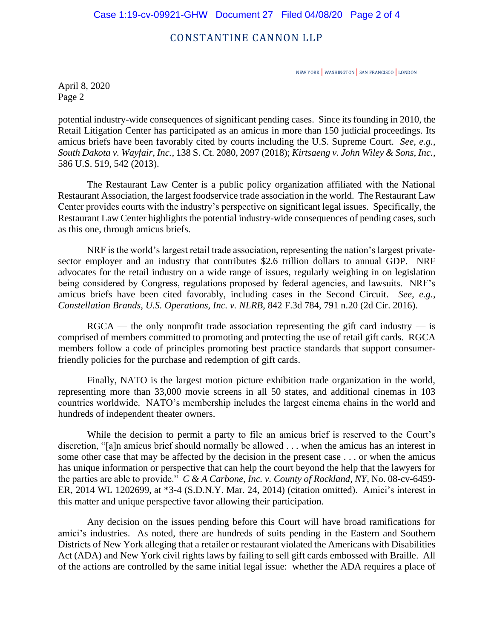#### Case 1:19-cv-09921-GHW Document 27 Filed 04/08/20 Page 2 of 4

## CONSTANTINE CANNON LLP

NEW YORK | WASHINGTON | SAN FRANCISCO | LONDON

April 8, 2020 Page 2

potential industry-wide consequences of significant pending cases. Since its founding in 2010, the Retail Litigation Center has participated as an amicus in more than 150 judicial proceedings. Its amicus briefs have been favorably cited by courts including the U.S. Supreme Court. *See, e.g.*, *South Dakota v. Wayfair, Inc.*, 138 S. Ct. 2080, 2097 (2018); *Kirtsaeng v. John Wiley & Sons, Inc.*, 586 U.S. 519, 542 (2013).

The Restaurant Law Center is a public policy organization affiliated with the National Restaurant Association, the largest foodservice trade association in the world. The Restaurant Law Center provides courts with the industry's perspective on significant legal issues. Specifically, the Restaurant Law Center highlights the potential industry-wide consequences of pending cases, such as this one, through amicus briefs.

NRF is the world's largest retail trade association, representing the nation's largest privatesector employer and an industry that contributes \$2.6 trillion dollars to annual GDP. NRF advocates for the retail industry on a wide range of issues, regularly weighing in on legislation being considered by Congress, regulations proposed by federal agencies, and lawsuits. NRF's amicus briefs have been cited favorably, including cases in the Second Circuit. *See, e.g.*, *Constellation Brands, U.S. Operations, Inc. v. NLRB*, 842 F.3d 784, 791 n.20 (2d Cir. 2016).

 $RGCA$  — the only nonprofit trade association representing the gift card industry — is comprised of members committed to promoting and protecting the use of retail gift cards. RGCA members follow a code of principles promoting best practice standards that support consumerfriendly policies for the purchase and redemption of gift cards.

Finally, NATO is the largest motion picture exhibition trade organization in the world, representing more than 33,000 movie screens in all 50 states, and additional cinemas in 103 countries worldwide. NATO's membership includes the largest cinema chains in the world and hundreds of independent theater owners.

While the decision to permit a party to file an amicus brief is reserved to the Court's discretion, "[a]n amicus brief should normally be allowed . . . when the amicus has an interest in some other case that may be affected by the decision in the present case . . . or when the amicus has unique information or perspective that can help the court beyond the help that the lawyers for the parties are able to provide." *C & A Carbone, Inc. v. County of Rockland, NY*, No. 08-cv-6459- ER, 2014 WL 1202699, at \*3-4 (S.D.N.Y. Mar. 24, 2014) (citation omitted). Amici's interest in this matter and unique perspective favor allowing their participation.

Any decision on the issues pending before this Court will have broad ramifications for amici's industries. As noted, there are hundreds of suits pending in the Eastern and Southern Districts of New York alleging that a retailer or restaurant violated the Americans with Disabilities Act (ADA) and New York civil rights laws by failing to sell gift cards embossed with Braille. All of the actions are controlled by the same initial legal issue: whether the ADA requires a place of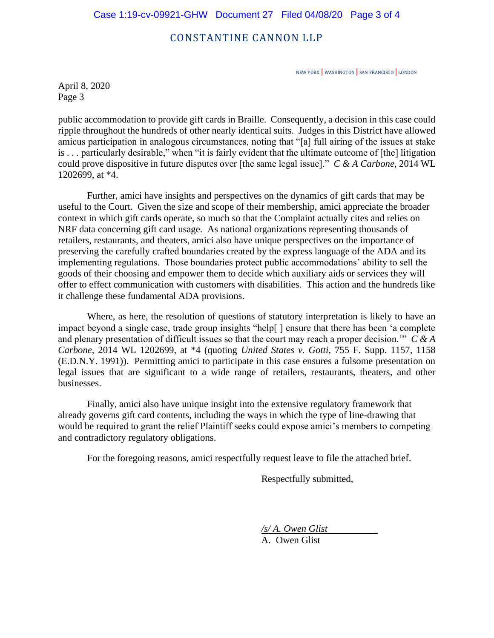#### Case 1:19-cv-09921-GHW Document 27 Filed 04/08/20 Page 3 of 4

## CONSTANTINE CANNON LLP

NEW YORK | WASHINGTON | SAN FRANCISCO | LONDON

April 8, 2020 Page 3

public accommodation to provide gift cards in Braille. Consequently, a decision in this case could ripple throughout the hundreds of other nearly identical suits. Judges in this District have allowed amicus participation in analogous circumstances, noting that "[a] full airing of the issues at stake is . . . particularly desirable," when "it is fairly evident that the ultimate outcome of [the] litigation could prove dispositive in future disputes over [the same legal issue]." *C & A Carbone*, 2014 WL 1202699, at \*4.

Further, amici have insights and perspectives on the dynamics of gift cards that may be useful to the Court. Given the size and scope of their membership, amici appreciate the broader context in which gift cards operate, so much so that the Complaint actually cites and relies on NRF data concerning gift card usage. As national organizations representing thousands of retailers, restaurants, and theaters, amici also have unique perspectives on the importance of preserving the carefully crafted boundaries created by the express language of the ADA and its implementing regulations. Those boundaries protect public accommodations' ability to sell the goods of their choosing and empower them to decide which auxiliary aids or services they will offer to effect communication with customers with disabilities. This action and the hundreds like it challenge these fundamental ADA provisions.

Where, as here, the resolution of questions of statutory interpretation is likely to have an impact beyond a single case, trade group insights "help[ ] ensure that there has been 'a complete and plenary presentation of difficult issues so that the court may reach a proper decision.'" *C & A Carbone*, 2014 WL 1202699, at \*4 (quoting *United States v. Gotti*, 755 F. Supp. 1157, 1158 (E.D.N.Y. 1991)). Permitting amici to participate in this case ensures a fulsome presentation on legal issues that are significant to a wide range of retailers, restaurants, theaters, and other businesses.

Finally, amici also have unique insight into the extensive regulatory framework that already governs gift card contents, including the ways in which the type of line-drawing that would be required to grant the relief Plaintiff seeks could expose amici's members to competing and contradictory regulatory obligations.

For the foregoing reasons, amici respectfully request leave to file the attached brief.

Respectfully submitted,

*/s/ A. Owen Glist*

A. Owen Glist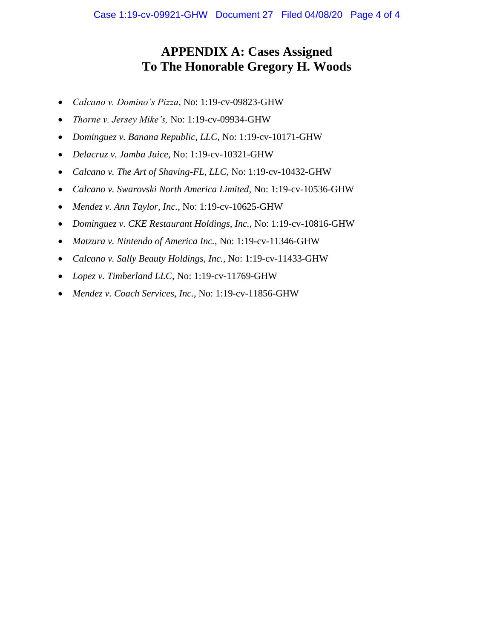# **APPENDIX A: Cases Assigned To The Honorable Gregory H. Woods**

- *Calcano v. Domino's Pizza,* No: 1:19-cv-09823-GHW
- *Thorne v. Jersey Mike's,* No: 1:19-cv-09934-GHW
- *Dominguez v. Banana Republic, LLC,* No: 1:19-cv-10171-GHW
- *Delacruz v. Jamba Juice,* No: 1:19-cv-10321-GHW
- *Calcano v. The Art of Shaving-FL, LLC,* No: 1:19-cv-10432-GHW
- *Calcano v. Swarovski North America Limited,* No: 1:19-cv-10536-GHW
- *Mendez v. Ann Taylor, Inc.,* No: 1:19-cv-10625-GHW
- *Dominguez v. CKE Restaurant Holdings, Inc.,* No: 1:19-cv-10816-GHW
- *Matzura v. Nintendo of America Inc.,* No: 1:19-cv-11346-GHW
- *Calcano v. Sally Beauty Holdings, Inc.,* No: 1:19-cv-11433-GHW
- *Lopez v. Timberland LLC,* No: 1:19-cv-11769-GHW
- *Mendez v. Coach Services, Inc.,* No: 1:19-cv-11856-GHW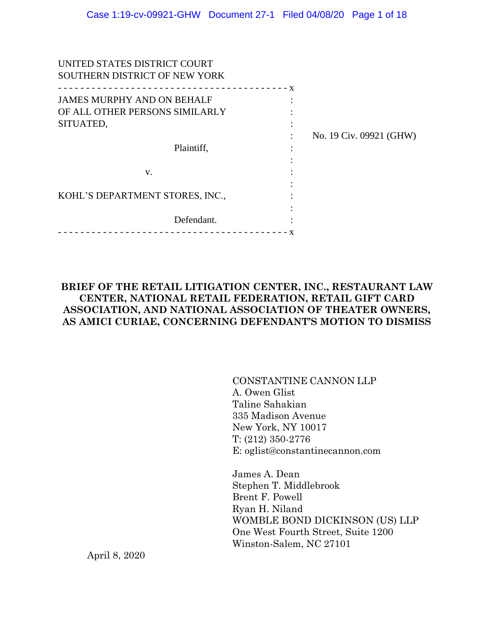| UNITED STATES DISTRICT COURT<br>SOUTHERN DISTRICT OF NEW YORK                                                     |              |                         |
|-------------------------------------------------------------------------------------------------------------------|--------------|-------------------------|
| - - - - - - - - - - - - - - -<br><b>JAMES MURPHY AND ON BEHALF</b><br>OF ALL OTHER PERSONS SIMILARLY<br>SITUATED, | $\mathbf{x}$ |                         |
| Plaintiff,                                                                                                        |              | No. 19 Civ. 09921 (GHW) |
| V.                                                                                                                |              |                         |
| KOHL'S DEPARTMENT STORES, INC.,                                                                                   |              |                         |
| Defendant.<br>- - - - - - - - - - - - - -                                                                         |              |                         |

# **BRIEF OF THE RETAIL LITIGATION CENTER, INC., RESTAURANT LAW CENTER, NATIONAL RETAIL FEDERATION, RETAIL GIFT CARD ASSOCIATION, AND NATIONAL ASSOCIATION OF THEATER OWNERS, AS AMICI CURIAE, CONCERNING DEFENDANT'S MOTION TO DISMISS**

CONSTANTINE CANNON LLP A. Owen Glist Taline Sahakian 335 Madison Avenue New York, NY 10017 T: (212) 350-2776 E: oglist@constantinecannon.com

James A. Dean Stephen T. Middlebrook Brent F. Powell Ryan H. Niland WOMBLE BOND DICKINSON (US) LLP One West Fourth Street, Suite 1200 Winston-Salem, NC 27101

April 8, 2020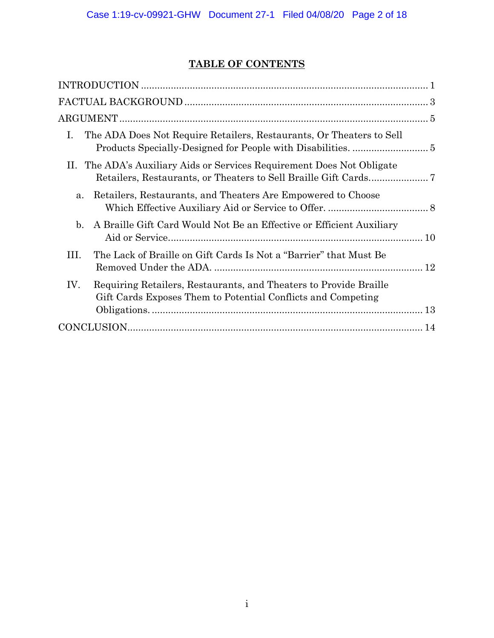# **TABLE OF CONTENTS**

| Ι.<br>The ADA Does Not Require Retailers, Restaurants, Or Theaters to Sell                                                               |  |
|------------------------------------------------------------------------------------------------------------------------------------------|--|
| The ADA's Auxiliary Aids or Services Requirement Does Not Obligate<br>П.                                                                 |  |
| Retailers, Restaurants, and Theaters Are Empowered to Choose<br>a.                                                                       |  |
| $\mathbf{b}$ .<br>A Braille Gift Card Would Not Be an Effective or Efficient Auxiliary                                                   |  |
| III.<br>The Lack of Braille on Gift Cards Is Not a "Barrier" that Must Be                                                                |  |
| IV.<br>Requiring Retailers, Restaurants, and Theaters to Provide Braille<br>Gift Cards Exposes Them to Potential Conflicts and Competing |  |
|                                                                                                                                          |  |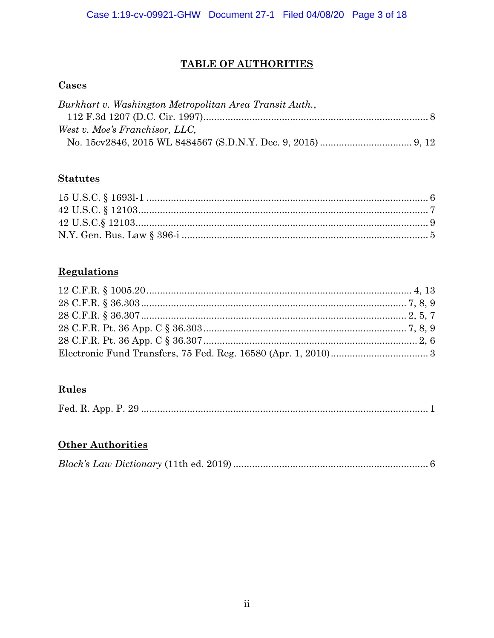# **TABLE OF AUTHORITIES**

# Cases

| Burkhart v. Washington Metropolitan Area Transit Auth., |  |
|---------------------------------------------------------|--|
|                                                         |  |
| West v. Moe's Franchisor, LLC,                          |  |
|                                                         |  |

# **Statutes**

# Regulations

# Rules

# **Other Authorities**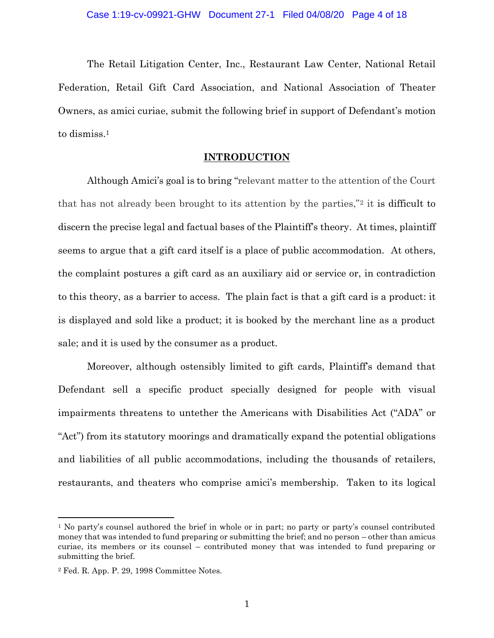The Retail Litigation Center, Inc., Restaurant Law Center, National Retail Federation, Retail Gift Card Association, and National Association of Theater Owners, as amici curiae, submit the following brief in support of Defendant's motion to dismiss. 1

#### **INTRODUCTION**

<span id="page-7-0"></span>Although Amici's goal is to bring "relevant matter to the attention of the Court that has not already been brought to its attention by the parties,"<sup>2</sup> it is difficult to discern the precise legal and factual bases of the Plaintiff's theory. At times, plaintiff seems to argue that a gift card itself is a place of public accommodation. At others, the complaint postures a gift card as an auxiliary aid or service or, in contradiction to this theory, as a barrier to access. The plain fact is that a gift card is a product: it is displayed and sold like a product; it is booked by the merchant line as a product sale; and it is used by the consumer as a product.

Moreover, although ostensibly limited to gift cards, Plaintiff's demand that Defendant sell a specific product specially designed for people with visual impairments threatens to untether the Americans with Disabilities Act ("ADA" or "Act") from its statutory moorings and dramatically expand the potential obligations and liabilities of all public accommodations, including the thousands of retailers, restaurants, and theaters who comprise amici's membership. Taken to its logical

<sup>1</sup> No party's counsel authored the brief in whole or in part; no party or party's counsel contributed money that was intended to fund preparing or submitting the brief; and no person – other than amicus curiae, its members or its counsel – contributed money that was intended to fund preparing or submitting the brief.

<sup>2</sup> Fed. R. App. P. 29, 1998 Committee Notes.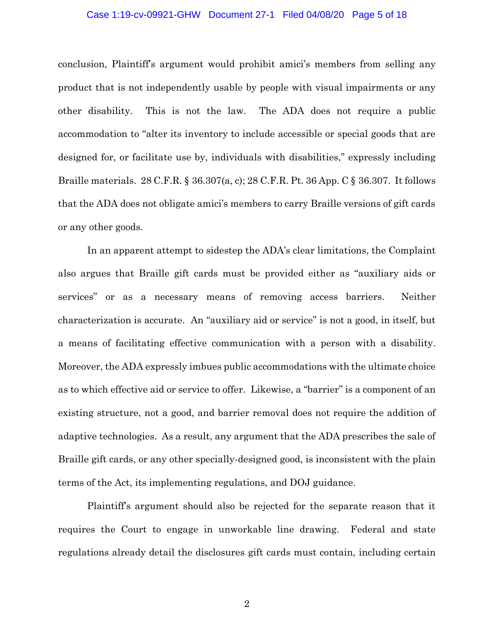#### Case 1:19-cv-09921-GHW Document 27-1 Filed 04/08/20 Page 5 of 18

conclusion, Plaintiff's argument would prohibit amici's members from selling any product that is not independently usable by people with visual impairments or any other disability. This is not the law. The ADA does not require a public accommodation to "alter its inventory to include accessible or special goods that are designed for, or facilitate use by, individuals with disabilities," expressly including Braille materials. 28 C.F.R. § 36.307(a, c); 28 C.F.R. Pt. 36 App. C § 36.307. It follows that the ADA does not obligate amici's members to carry Braille versions of gift cards or any other goods.

In an apparent attempt to sidestep the ADA's clear limitations, the Complaint also argues that Braille gift cards must be provided either as "auxiliary aids or services" or as a necessary means of removing access barriers. Neither characterization is accurate. An "auxiliary aid or service" is not a good, in itself, but a means of facilitating effective communication with a person with a disability. Moreover, the ADA expressly imbues public accommodations with the ultimate choice as to which effective aid or service to offer. Likewise, a "barrier" is a component of an existing structure, not a good, and barrier removal does not require the addition of adaptive technologies. As a result, any argument that the ADA prescribes the sale of Braille gift cards, or any other specially-designed good, is inconsistent with the plain terms of the Act, its implementing regulations, and DOJ guidance.

Plaintiff's argument should also be rejected for the separate reason that it requires the Court to engage in unworkable line drawing. Federal and state regulations already detail the disclosures gift cards must contain, including certain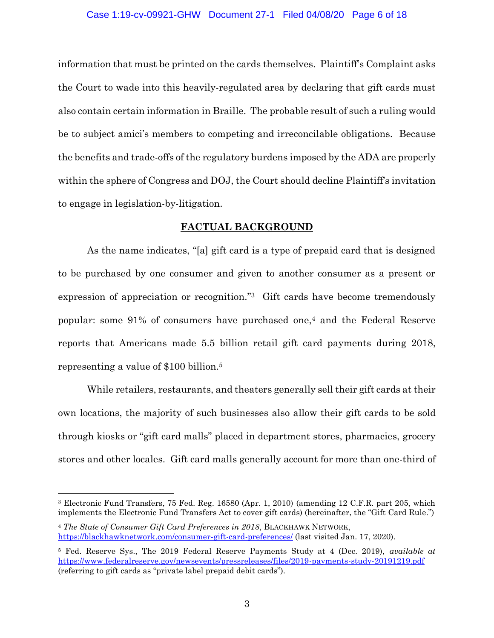#### Case 1:19-cv-09921-GHW Document 27-1 Filed 04/08/20 Page 6 of 18

information that must be printed on the cards themselves. Plaintiff's Complaint asks the Court to wade into this heavily-regulated area by declaring that gift cards must also contain certain information in Braille. The probable result of such a ruling would be to subject amici's members to competing and irreconcilable obligations. Because the benefits and trade-offs of the regulatory burdens imposed by the ADA are properly within the sphere of Congress and DOJ, the Court should decline Plaintiff's invitation to engage in legislation-by-litigation.

#### **FACTUAL BACKGROUND**

<span id="page-9-0"></span>As the name indicates, "[a] gift card is a type of prepaid card that is designed to be purchased by one consumer and given to another consumer as a present or expression of appreciation or recognition." <sup>3</sup> Gift cards have become tremendously popular: some 91% of consumers have purchased one, <sup>4</sup> and the Federal Reserve reports that Americans made 5.5 billion retail gift card payments during 2018, representing a value of \$100 billion.<sup>5</sup>

While retailers, restaurants, and theaters generally sell their gift cards at their own locations, the majority of such businesses also allow their gift cards to be sold through kiosks or "gift card malls" placed in department stores, pharmacies, grocery stores and other locales. Gift card malls generally account for more than one-third of

<sup>3</sup> Electronic Fund Transfers, 75 Fed. Reg. 16580 (Apr. 1, 2010) (amending 12 C.F.R. part 205, which implements the Electronic Fund Transfers Act to cover gift cards) (hereinafter, the "Gift Card Rule.")

<sup>4</sup> *The State of Consumer Gift Card Preferences in 2018*, BLACKHAWK NETWORK, <https://blackhawknetwork.com/consumer-gift-card-preferences/> (last visited Jan. 17, 2020).

<sup>5</sup> Fed. Reserve Sys., The 2019 Federal Reserve Payments Study at 4 (Dec. 2019), *available at* <https://www.federalreserve.gov/newsevents/pressreleases/files/2019-payments-study-20191219.pdf> (referring to gift cards as "private label prepaid debit cards").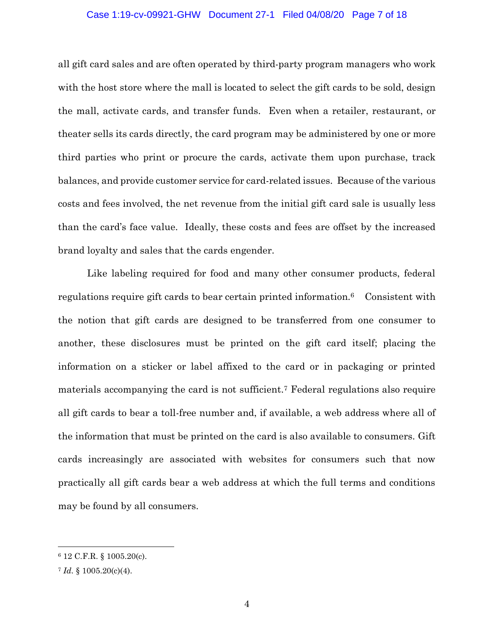#### Case 1:19-cv-09921-GHW Document 27-1 Filed 04/08/20 Page 7 of 18

all gift card sales and are often operated by third-party program managers who work with the host store where the mall is located to select the gift cards to be sold, design the mall, activate cards, and transfer funds. Even when a retailer, restaurant, or theater sells its cards directly, the card program may be administered by one or more third parties who print or procure the cards, activate them upon purchase, track balances, and provide customer service for card-related issues. Because of the various costs and fees involved, the net revenue from the initial gift card sale is usually less than the card's face value. Ideally, these costs and fees are offset by the increased brand loyalty and sales that the cards engender.

Like labeling required for food and many other consumer products, federal regulations require gift cards to bear certain printed information.6 Consistent with the notion that gift cards are designed to be transferred from one consumer to another, these disclosures must be printed on the gift card itself; placing the information on a sticker or label affixed to the card or in packaging or printed materials accompanying the card is not sufficient.<sup>7</sup> Federal regulations also require all gift cards to bear a toll-free number and, if available, a web address where all of the information that must be printed on the card is also available to consumers. Gift cards increasingly are associated with websites for consumers such that now practically all gift cards bear a web address at which the full terms and conditions may be found by all consumers.

<sup>6</sup> 12 C.F.R. § 1005.20(c).

<sup>7</sup> *Id.* § 1005.20(c)(4).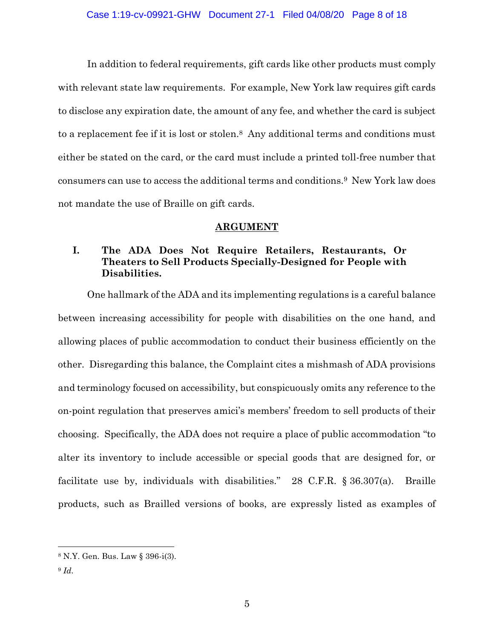In addition to federal requirements, gift cards like other products must comply with relevant state law requirements. For example, New York law requires gift cards to disclose any expiration date, the amount of any fee, and whether the card is subject to a replacement fee if it is lost or stolen. <sup>8</sup> Any additional terms and conditions must either be stated on the card, or the card must include a printed toll-free number that consumers can use to access the additional terms and conditions.9 New York law does not mandate the use of Braille on gift cards.

#### **ARGUMENT**

## <span id="page-11-1"></span><span id="page-11-0"></span>**I. The ADA Does Not Require Retailers, Restaurants, Or Theaters to Sell Products Specially-Designed for People with Disabilities.**

One hallmark of the ADA and its implementing regulations is a careful balance between increasing accessibility for people with disabilities on the one hand, and allowing places of public accommodation to conduct their business efficiently on the other. Disregarding this balance, the Complaint cites a mishmash of ADA provisions and terminology focused on accessibility, but conspicuously omits any reference to the on-point regulation that preserves amici's members' freedom to sell products of their choosing. Specifically, the ADA does not require a place of public accommodation "to alter its inventory to include accessible or special goods that are designed for, or facilitate use by, individuals with disabilities." 28 C.F.R. § 36.307(a). Braille products, such as Brailled versions of books, are expressly listed as examples of

<sup>8</sup> N.Y. Gen. Bus. Law § 396-i(3).

<sup>9</sup> *Id.*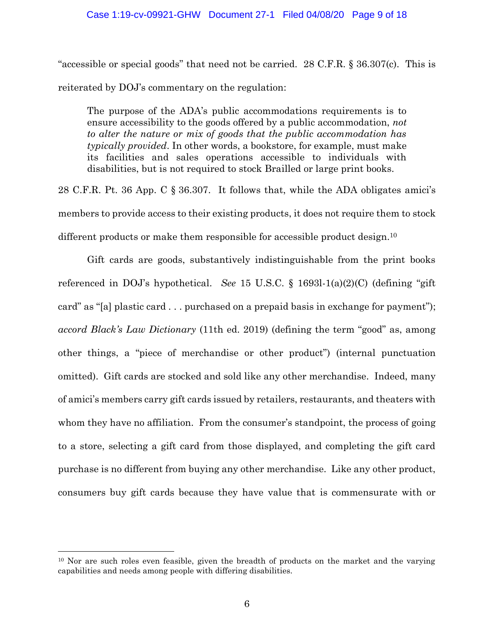#### Case 1:19-cv-09921-GHW Document 27-1 Filed 04/08/20 Page 9 of 18

"accessible or special goods" that need not be carried. 28 C.F.R. § 36.307(c). This is reiterated by DOJ's commentary on the regulation:

The purpose of the ADA's public accommodations requirements is to ensure accessibility to the goods offered by a public accommodation, *not to alter the nature or mix of goods that the public accommodation has typically provided*. In other words, a bookstore, for example, must make its facilities and sales operations accessible to individuals with disabilities, but is not required to stock Brailled or large print books.

28 C.F.R. Pt. 36 App. C § 36.307. It follows that, while the ADA obligates amici's members to provide access to their existing products, it does not require them to stock different products or make them responsible for accessible product design.<sup>10</sup>

Gift cards are goods, substantively indistinguishable from the print books referenced in DOJ's hypothetical. *See* 15 U.S.C. § 1693l-1(a)(2)(C) (defining "gift card" as "[a] plastic card . . . purchased on a prepaid basis in exchange for payment"); *accord Black's Law Dictionary* (11th ed. 2019) (defining the term "good" as, among other things, a "piece of merchandise or other product") (internal punctuation omitted). Gift cards are stocked and sold like any other merchandise. Indeed, many of amici's members carry gift cards issued by retailers, restaurants, and theaters with whom they have no affiliation. From the consumer's standpoint, the process of going to a store, selecting a gift card from those displayed, and completing the gift card purchase is no different from buying any other merchandise. Like any other product, consumers buy gift cards because they have value that is commensurate with or

<sup>&</sup>lt;sup>10</sup> Nor are such roles even feasible, given the breadth of products on the market and the varying capabilities and needs among people with differing disabilities.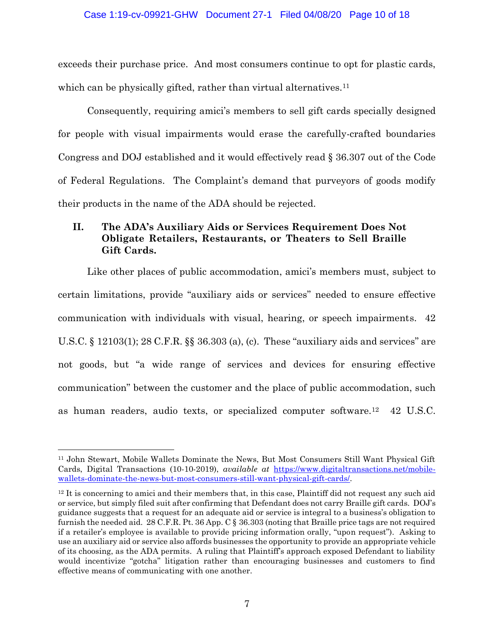exceeds their purchase price. And most consumers continue to opt for plastic cards, which can be physically gifted, rather than virtual alternatives.<sup>11</sup>

Consequently, requiring amici's members to sell gift cards specially designed for people with visual impairments would erase the carefully-crafted boundaries Congress and DOJ established and it would effectively read § 36.307 out of the Code of Federal Regulations. The Complaint's demand that purveyors of goods modify their products in the name of the ADA should be rejected.

# <span id="page-13-0"></span>**II. The ADA's Auxiliary Aids or Services Requirement Does Not Obligate Retailers, Restaurants, or Theaters to Sell Braille Gift Cards.**

Like other places of public accommodation, amici's members must, subject to certain limitations, provide "auxiliary aids or services" needed to ensure effective communication with individuals with visual, hearing, or speech impairments. 42 U.S.C. § 12103(1); 28 C.F.R. §§ 36.303 (a), (c). These "auxiliary aids and services" are not goods, but "a wide range of services and devices for ensuring effective communication" between the customer and the place of public accommodation, such as human readers, audio texts, or specialized computer software.<sup>12</sup> 42 U.S.C.

<sup>11</sup> John Stewart, Mobile Wallets Dominate the News, But Most Consumers Still Want Physical Gift Cards, Digital Transactions (10-10-2019), *available at* [https://www.digitaltransactions.net/mobile](https://www.digitaltransactions.net/mobile-wallets-dominate-the-news-but-most-consumers-still-want-physical-gift-cards/)[wallets-dominate-the-news-but-most-consumers-still-want-physical-gift-cards/.](https://www.digitaltransactions.net/mobile-wallets-dominate-the-news-but-most-consumers-still-want-physical-gift-cards/)

<sup>&</sup>lt;sup>12</sup> It is concerning to amici and their members that, in this case, Plaintiff did not request any such aid or service, but simply filed suit after confirming that Defendant does not carry Braille gift cards. DOJ's guidance suggests that a request for an adequate aid or service is integral to a business's obligation to furnish the needed aid. 28 C.F.R. Pt. 36 App. C § 36.303 (noting that Braille price tags are not required if a retailer's employee is available to provide pricing information orally, "upon request"). Asking to use an auxiliary aid or service also affords businesses the opportunity to provide an appropriate vehicle of its choosing, as the ADA permits. A ruling that Plaintiff's approach exposed Defendant to liability would incentivize "gotcha" litigation rather than encouraging businesses and customers to find effective means of communicating with one another.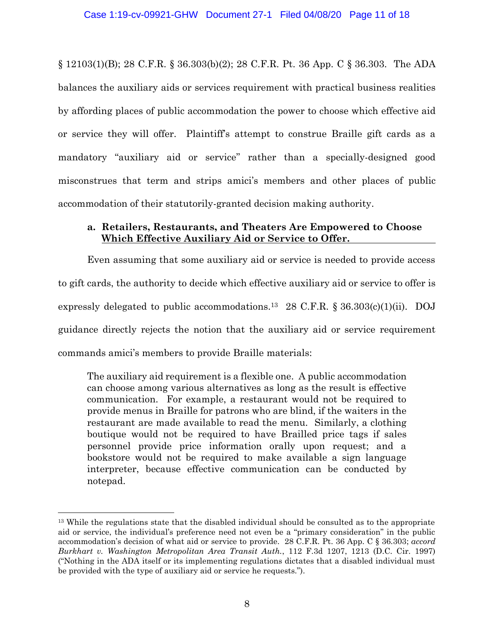§ 12103(1)(B); 28 C.F.R. § 36.303(b)(2); 28 C.F.R. Pt. 36 App. C § 36.303. The ADA balances the auxiliary aids or services requirement with practical business realities by affording places of public accommodation the power to choose which effective aid or service they will offer. Plaintiff's attempt to construe Braille gift cards as a mandatory "auxiliary aid or service" rather than a specially-designed good misconstrues that term and strips amici's members and other places of public accommodation of their statutorily-granted decision making authority.

### <span id="page-14-0"></span>**a. Retailers, Restaurants, and Theaters Are Empowered to Choose Which Effective Auxiliary Aid or Service to Offer.**

Even assuming that some auxiliary aid or service is needed to provide access to gift cards, the authority to decide which effective auxiliary aid or service to offer is expressly delegated to public accommodations.<sup>13</sup> 28 C.F.R. § 36.303(c)(1)(ii). DOJ guidance directly rejects the notion that the auxiliary aid or service requirement commands amici's members to provide Braille materials:

The auxiliary aid requirement is a flexible one. A public accommodation can choose among various alternatives as long as the result is effective communication. For example, a restaurant would not be required to provide menus in Braille for patrons who are blind, if the waiters in the restaurant are made available to read the menu. Similarly, a clothing boutique would not be required to have Brailled price tags if sales personnel provide price information orally upon request; and a bookstore would not be required to make available a sign language interpreter, because effective communication can be conducted by notepad.

<sup>&</sup>lt;sup>13</sup> While the regulations state that the disabled individual should be consulted as to the appropriate aid or service, the individual's preference need not even be a "primary consideration" in the public accommodation's decision of what aid or service to provide. 28 C.F.R. Pt. 36 App. C § 36.303; *accord Burkhart v. Washington Metropolitan Area Transit Auth.*, 112 F.3d 1207, 1213 (D.C. Cir. 1997) ("Nothing in the ADA itself or its implementing regulations dictates that a disabled individual must be provided with the type of auxiliary aid or service he requests.").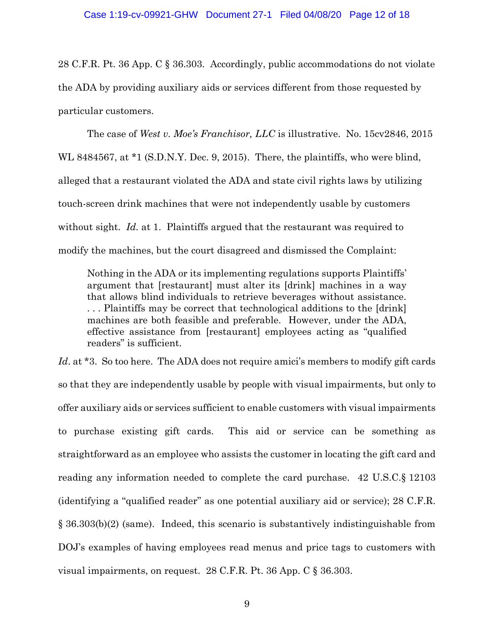28 C.F.R. Pt. 36 App. C § 36.303. Accordingly, public accommodations do not violate the ADA by providing auxiliary aids or services different from those requested by particular customers.

The case of *West v. Moe's Franchisor, LLC* is illustrative. No. 15cv2846, 2015 WL 8484567, at \*1 (S.D.N.Y. Dec. 9, 2015). There, the plaintiffs, who were blind, alleged that a restaurant violated the ADA and state civil rights laws by utilizing touch-screen drink machines that were not independently usable by customers without sight. *Id.* at 1. Plaintiffs argued that the restaurant was required to modify the machines, but the court disagreed and dismissed the Complaint:

Nothing in the ADA or its implementing regulations supports Plaintiffs' argument that [restaurant] must alter its [drink] machines in a way that allows blind individuals to retrieve beverages without assistance. . . . Plaintiffs may be correct that technological additions to the [drink] machines are both feasible and preferable. However, under the ADA, effective assistance from [restaurant] employees acting as "qualified readers" is sufficient.

Id. at \*3. So too here. The ADA does not require amici's members to modify gift cards so that they are independently usable by people with visual impairments, but only to offer auxiliary aids or services sufficient to enable customers with visual impairments to purchase existing gift cards. This aid or service can be something as straightforward as an employee who assists the customer in locating the gift card and reading any information needed to complete the card purchase. 42 U.S.C.§ 12103 (identifying a "qualified reader" as one potential auxiliary aid or service); 28 C.F.R. § 36.303(b)(2) (same). Indeed, this scenario is substantively indistinguishable from DOJ's examples of having employees read menus and price tags to customers with visual impairments, on request. 28 C.F.R. Pt. 36 App. C § 36.303.

9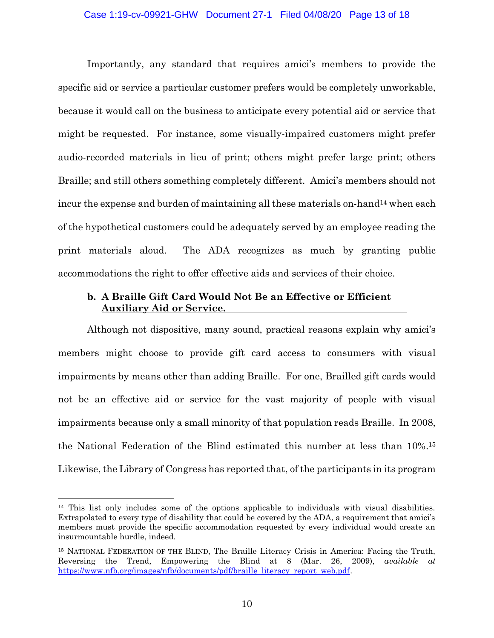#### Case 1:19-cv-09921-GHW Document 27-1 Filed 04/08/20 Page 13 of 18

Importantly, any standard that requires amici's members to provide the specific aid or service a particular customer prefers would be completely unworkable, because it would call on the business to anticipate every potential aid or service that might be requested. For instance, some visually-impaired customers might prefer audio-recorded materials in lieu of print; others might prefer large print; others Braille; and still others something completely different. Amici's members should not incur the expense and burden of maintaining all these materials on-hand<sup>14</sup> when each of the hypothetical customers could be adequately served by an employee reading the print materials aloud. The ADA recognizes as much by granting public accommodations the right to offer effective aids and services of their choice.

### <span id="page-16-0"></span>**b. A Braille Gift Card Would Not Be an Effective or Efficient Auxiliary Aid or Service.**

Although not dispositive, many sound, practical reasons explain why amici's members might choose to provide gift card access to consumers with visual impairments by means other than adding Braille. For one, Brailled gift cards would not be an effective aid or service for the vast majority of people with visual impairments because only a small minority of that population reads Braille. In 2008, the National Federation of the Blind estimated this number at less than 10%. <sup>15</sup> Likewise, the Library of Congress has reported that, of the participants in its program

<sup>&</sup>lt;sup>14</sup> This list only includes some of the options applicable to individuals with visual disabilities. Extrapolated to every type of disability that could be covered by the ADA, a requirement that amici's members must provide the specific accommodation requested by every individual would create an insurmountable hurdle, indeed.

<sup>15</sup> NATIONAL FEDERATION OF THE BLIND, The Braille Literacy Crisis in America: Facing the Truth, Reversing the Trend, Empowering the Blind at 8 (Mar. 26, 2009), *available at*  [https://www.nfb.org/images/nfb/documents/pdf/braille\\_literacy\\_report\\_web.pdf.](https://www.nfb.org/images/nfb/documents/pdf/braille_literacy_report_web.pdf)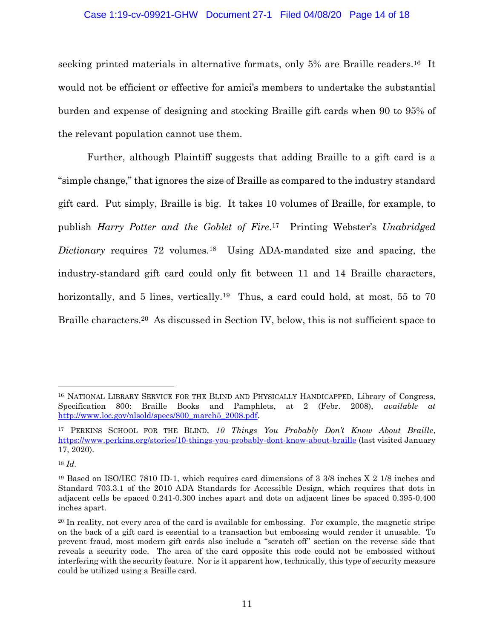#### Case 1:19-cv-09921-GHW Document 27-1 Filed 04/08/20 Page 14 of 18

seeking printed materials in alternative formats, only 5% are Braille readers.<sup>16</sup> It would not be efficient or effective for amici's members to undertake the substantial burden and expense of designing and stocking Braille gift cards when 90 to 95% of the relevant population cannot use them.

Further, although Plaintiff suggests that adding Braille to a gift card is a "simple change," that ignores the size of Braille as compared to the industry standard gift card. Put simply, Braille is big. It takes 10 volumes of Braille, for example, to publish *Harry Potter and the Goblet of Fire*. <sup>17</sup> Printing Webster's *Unabridged Dictionary* requires 72 volumes.<sup>18</sup> Using ADA-mandated size and spacing, the industry-standard gift card could only fit between 11 and 14 Braille characters, horizontally, and 5 lines, vertically.<sup>19</sup> Thus, a card could hold, at most, 55 to 70 Braille characters.<sup>20</sup> As discussed in Section IV, below, this is not sufficient space to

<sup>16</sup> NATIONAL LIBRARY SERVICE FOR THE BLIND AND PHYSICALLY HANDICAPPED, Library of Congress, Specification 800: Braille Books and Pamphlets, at 2 (Febr. 2008), *available at*  [http://www.loc.gov/nlsold/specs/800\\_march5\\_2008.pdf.](www.loc.gov/nlsold/specs/800_march5_2008.pdf)

<sup>17</sup> PERKINS SCHOOL FOR THE BLIND, *10 Things You Probably Don't Know About Braille*, <https://www.perkins.org/stories/10-things-you-probably-dont-know-about-braille> (last visited January 17, 2020).

<sup>18</sup> *Id.*

<sup>19</sup> Based on ISO/IEC 7810 ID-1, which requires card dimensions of 3 3/8 inches X 2 1/8 inches and Standard 703.3.1 of the 2010 ADA Standards for Accessible Design, which requires that dots in adjacent cells be spaced 0.241-0.300 inches apart and dots on adjacent lines be spaced 0.395-0.400 inches apart.

<sup>&</sup>lt;sup>20</sup> In reality, not every area of the card is available for embossing. For example, the magnetic stripe on the back of a gift card is essential to a transaction but embossing would render it unusable. To prevent fraud, most modern gift cards also include a "scratch off" section on the reverse side that reveals a security code. The area of the card opposite this code could not be embossed without interfering with the security feature. Nor is it apparent how, technically, this type of security measure could be utilized using a Braille card.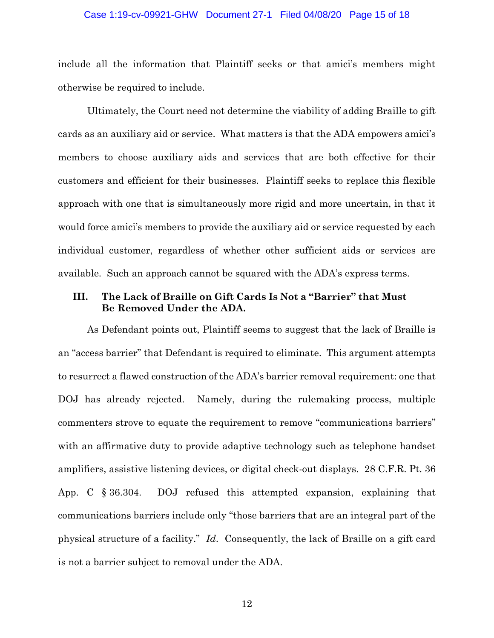#### Case 1:19-cv-09921-GHW Document 27-1 Filed 04/08/20 Page 15 of 18

include all the information that Plaintiff seeks or that amici's members might otherwise be required to include.

Ultimately, the Court need not determine the viability of adding Braille to gift cards as an auxiliary aid or service. What matters is that the ADA empowers amici's members to choose auxiliary aids and services that are both effective for their customers and efficient for their businesses. Plaintiff seeks to replace this flexible approach with one that is simultaneously more rigid and more uncertain, in that it would force amici's members to provide the auxiliary aid or service requested by each individual customer, regardless of whether other sufficient aids or services are available. Such an approach cannot be squared with the ADA's express terms.

### <span id="page-18-0"></span>**III. The Lack of Braille on Gift Cards Is Not a "Barrier" that Must Be Removed Under the ADA.**

As Defendant points out, Plaintiff seems to suggest that the lack of Braille is an "access barrier" that Defendant is required to eliminate. This argument attempts to resurrect a flawed construction of the ADA's barrier removal requirement: one that DOJ has already rejected. Namely, during the rulemaking process, multiple commenters strove to equate the requirement to remove "communications barriers" with an affirmative duty to provide adaptive technology such as telephone handset amplifiers, assistive listening devices, or digital check-out displays. 28 C.F.R. Pt. 36 App. C § 36.304. DOJ refused this attempted expansion, explaining that communications barriers include only "those barriers that are an integral part of the physical structure of a facility." *Id*. Consequently, the lack of Braille on a gift card is not a barrier subject to removal under the ADA.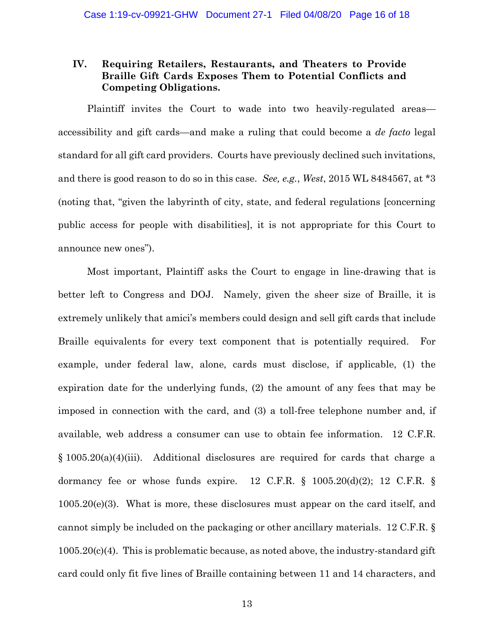### <span id="page-19-0"></span>**IV. Requiring Retailers, Restaurants, and Theaters to Provide Braille Gift Cards Exposes Them to Potential Conflicts and Competing Obligations.**

Plaintiff invites the Court to wade into two heavily-regulated areas accessibility and gift cards—and make a ruling that could become a *de facto* legal standard for all gift card providers. Courts have previously declined such invitations, and there is good reason to do so in this case. *See, e.g.*, *West*, 2015 WL 8484567, at \*3 (noting that, "given the labyrinth of city, state, and federal regulations [concerning public access for people with disabilities], it is not appropriate for this Court to announce new ones").

Most important, Plaintiff asks the Court to engage in line-drawing that is better left to Congress and DOJ. Namely, given the sheer size of Braille, it is extremely unlikely that amici's members could design and sell gift cards that include Braille equivalents for every text component that is potentially required. For example, under federal law, alone, cards must disclose, if applicable, (1) the expiration date for the underlying funds, (2) the amount of any fees that may be imposed in connection with the card, and (3) a toll-free telephone number and, if available, web address a consumer can use to obtain fee information. 12 C.F.R. § 1005.20(a)(4)(iii). Additional disclosures are required for cards that charge a dormancy fee or whose funds expire. 12 C.F.R.  $\S$  1005.20(d)(2); 12 C.F.R.  $\S$ 1005.20(e)(3). What is more, these disclosures must appear on the card itself, and cannot simply be included on the packaging or other ancillary materials. 12 C.F.R. § 1005.20(c)(4). This is problematic because, as noted above, the industry-standard gift card could only fit five lines of Braille containing between 11 and 14 characters, and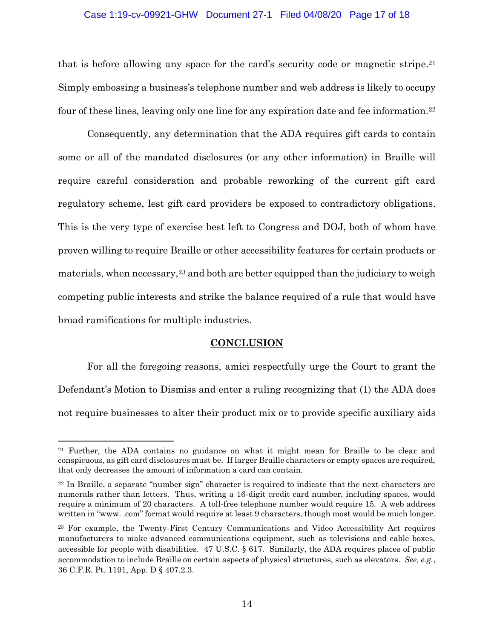#### Case 1:19-cv-09921-GHW Document 27-1 Filed 04/08/20 Page 17 of 18

that is before allowing any space for the card's security code or magnetic stripe. 21 Simply embossing a business's telephone number and web address is likely to occupy four of these lines, leaving only one line for any expiration date and fee information.<sup>22</sup>

Consequently, any determination that the ADA requires gift cards to contain some or all of the mandated disclosures (or any other information) in Braille will require careful consideration and probable reworking of the current gift card regulatory scheme, lest gift card providers be exposed to contradictory obligations. This is the very type of exercise best left to Congress and DOJ, both of whom have proven willing to require Braille or other accessibility features for certain products or materials, when necessary,<sup>23</sup> and both are better equipped than the judiciary to weigh competing public interests and strike the balance required of a rule that would have broad ramifications for multiple industries.

#### **CONCLUSION**

<span id="page-20-0"></span>For all the foregoing reasons, amici respectfully urge the Court to grant the Defendant's Motion to Dismiss and enter a ruling recognizing that (1) the ADA does not require businesses to alter their product mix or to provide specific auxiliary aids

<sup>21</sup> Further, the ADA contains no guidance on what it might mean for Braille to be clear and conspicuous, as gift card disclosures must be. If larger Braille characters or empty spaces are required, that only decreases the amount of information a card can contain.

<sup>22</sup> In Braille, a separate "number sign" character is required to indicate that the next characters are numerals rather than letters. Thus, writing a 16-digit credit card number, including spaces, would require a minimum of 20 characters. A toll-free telephone number would require 15. A web address written in "www. .com" format would require at least 9 characters, though most would be much longer.

<sup>23</sup> For example, the Twenty-First Century Communications and Video Accessibility Act requires manufacturers to make advanced communications equipment, such as televisions and cable boxes, accessible for people with disabilities. 47 U.S.C. § 617. Similarly, the ADA requires places of public accommodation to include Braille on certain aspects of physical structures, such as elevators. *See, e.g.*, 36 C.F.R. Pt. 1191, App. D § 407.2.3.